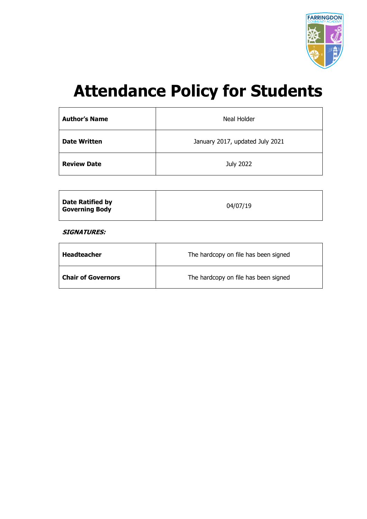

# **Attendance Policy for Students**

| <b>Author's Name</b> | Neal Holder                     |
|----------------------|---------------------------------|
| <b>Date Written</b>  | January 2017, updated July 2021 |
| <b>Review Date</b>   | July 2022                       |

| <b>Date Ratified by</b> |          |
|-------------------------|----------|
| <b>Governing Body</b>   | 04/07/19 |

**SIGNATURES:**

| <b>Headteacher</b>        | The hardcopy on file has been signed |  |
|---------------------------|--------------------------------------|--|
| <b>Chair of Governors</b> | The hardcopy on file has been signed |  |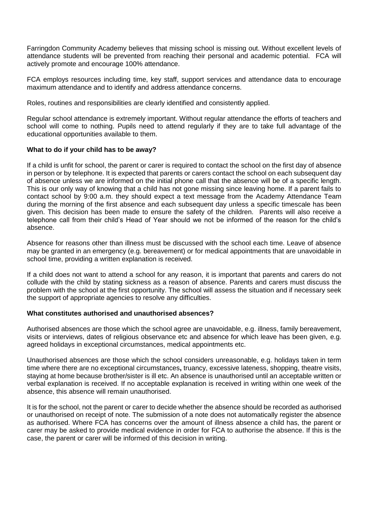Farringdon Community Academy believes that missing school is missing out. Without excellent levels of attendance students will be prevented from reaching their personal and academic potential. FCA will actively promote and encourage 100% attendance.

FCA employs resources including time, key staff, support services and attendance data to encourage maximum attendance and to identify and address attendance concerns.

Roles, routines and responsibilities are clearly identified and consistently applied.

Regular school attendance is extremely important. Without regular attendance the efforts of teachers and school will come to nothing. Pupils need to attend regularly if they are to take full advantage of the educational opportunities available to them.

## **What to do if your child has to be away?**

If a child is unfit for school, the parent or carer is required to contact the school on the first day of absence in person or by telephone. It is expected that parents or carers contact the school on each subsequent day of absence unless we are informed on the initial phone call that the absence will be of a specific length. This is our only way of knowing that a child has not gone missing since leaving home. If a parent fails to contact school by 9:00 a.m. they should expect a text message from the Academy Attendance Team during the morning of the first absence and each subsequent day unless a specific timescale has been given. This decision has been made to ensure the safety of the children. Parents will also receive a telephone call from their child's Head of Year should we not be informed of the reason for the child's absence.

Absence for reasons other than illness must be discussed with the school each time. Leave of absence may be granted in an emergency (e.g. bereavement) or for medical appointments that are unavoidable in school time, providing a written explanation is received.

If a child does not want to attend a school for any reason, it is important that parents and carers do not collude with the child by stating sickness as a reason of absence. Parents and carers must discuss the problem with the school at the first opportunity. The school will assess the situation and if necessary seek the support of appropriate agencies to resolve any difficulties.

## **What constitutes authorised and unauthorised absences?**

Authorised absences are those which the school agree are unavoidable, e.g. illness, family bereavement, visits or interviews, dates of religious observance etc and absence for which leave has been given, e.g. agreed holidays in exceptional circumstances, medical appointments etc.

Unauthorised absences are those which the school considers unreasonable, e.g. holidays taken in term time where there are no exceptional circumstances**,** truancy, excessive lateness, shopping, theatre visits, staying at home because brother/sister is ill etc. An absence is unauthorised until an acceptable written or verbal explanation is received. If no acceptable explanation is received in writing within one week of the absence, this absence will remain unauthorised.

It is for the school, not the parent or carer to decide whether the absence should be recorded as authorised or unauthorised on receipt of note. The submission of a note does not automatically register the absence as authorised. Where FCA has concerns over the amount of illness absence a child has, the parent or carer may be asked to provide medical evidence in order for FCA to authorise the absence. If this is the case, the parent or carer will be informed of this decision in writing.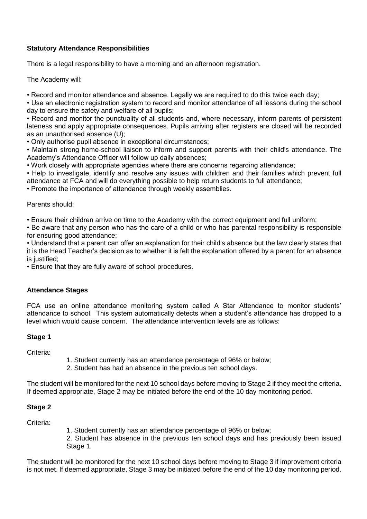# **Statutory Attendance Responsibilities**

There is a legal responsibility to have a morning and an afternoon registration.

The Academy will:

• Record and monitor attendance and absence. Legally we are required to do this twice each day;

• Use an electronic registration system to record and monitor attendance of all lessons during the school day to ensure the safety and welfare of all pupils;

• Record and monitor the punctuality of all students and, where necessary, inform parents of persistent lateness and apply appropriate consequences. Pupils arriving after registers are closed will be recorded as an unauthorised absence (U);

• Only authorise pupil absence in exceptional circumstances;

• Maintain strong home-school liaison to inform and support parents with their child's attendance. The Academy's Attendance Officer will follow up daily absences;

• Work closely with appropriate agencies where there are concerns regarding attendance;

• Help to investigate, identify and resolve any issues with children and their families which prevent full attendance at FCA and will do everything possible to help return students to full attendance;

• Promote the importance of attendance through weekly assemblies.

Parents should:

• Ensure their children arrive on time to the Academy with the correct equipment and full uniform;

• Be aware that any person who has the care of a child or who has parental responsibility is responsible for ensuring good attendance;

• Understand that a parent can offer an explanation for their child's absence but the law clearly states that it is the Head Teacher's decision as to whether it is felt the explanation offered by a parent for an absence is justified:

• Ensure that they are fully aware of school procedures.

# **Attendance Stages**

FCA use an online attendance monitoring system called A Star Attendance to monitor students' attendance to school. This system automatically detects when a student's attendance has dropped to a level which would cause concern. The attendance intervention levels are as follows:

# **Stage 1**

Criteria:

- 1. Student currently has an attendance percentage of 96% or below;
- 2. Student has had an absence in the previous ten school days.

The student will be monitored for the next 10 school days before moving to Stage 2 if they meet the criteria. If deemed appropriate, Stage 2 may be initiated before the end of the 10 day monitoring period.

# **Stage 2**

Criteria:

1. Student currently has an attendance percentage of 96% or below;

2. Student has absence in the previous ten school days and has previously been issued Stage 1.

The student will be monitored for the next 10 school days before moving to Stage 3 if improvement criteria is not met. If deemed appropriate, Stage 3 may be initiated before the end of the 10 day monitoring period.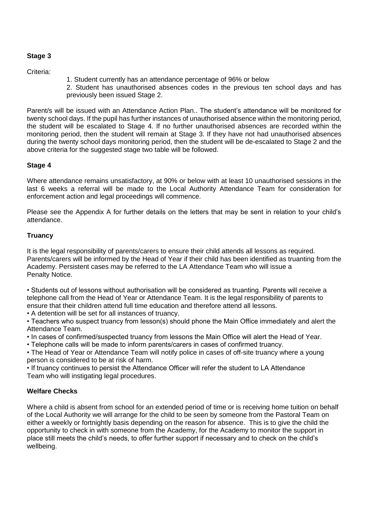# **Stage 3**

Criteria:

1. Student currently has an attendance percentage of 96% or below

2. Student has unauthorised absences codes in the previous ten school days and has previously been issued Stage 2.

Parent/s will be issued with an Attendance Action Plan.. The student's attendance will be monitored for twenty school days. If the pupil has further instances of unauthorised absence within the monitoring period, the student will be escalated to Stage 4. If no further unauthorised absences are recorded within the monitoring period, then the student will remain at Stage 3. If they have not had unauthorised absences during the twenty school days monitoring period, then the student will be de-escalated to Stage 2 and the above criteria for the suggested stage two table will be followed.

## **Stage 4**

Where attendance remains unsatisfactory, at 90% or below with at least 10 unauthorised sessions in the last 6 weeks a referral will be made to the Local Authority Attendance Team for consideration for enforcement action and legal proceedings will commence.

Please see the Appendix A for further details on the letters that may be sent in relation to your child's attendance.

## **Truancy**

It is the legal responsibility of parents/carers to ensure their child attends all lessons as required. Parents/carers will be informed by the Head of Year if their child has been identified as truanting from the Academy. Persistent cases may be referred to the LA Attendance Team who will issue a Penalty Notice.

• Students out of lessons without authorisation will be considered as truanting. Parents will receive a telephone call from the Head of Year or Attendance Team. It is the legal responsibility of parents to ensure that their children attend full time education and therefore attend all lessons.

• A detention will be set for all instances of truancy.

• Teachers who suspect truancy from lesson(s) should phone the Main Office immediately and alert the Attendance Team.

• In cases of confirmed/suspected truancy from lessons the Main Office will alert the Head of Year.

• Telephone calls will be made to inform parents/carers in cases of confirmed truancy.

• The Head of Year or Attendance Team will notify police in cases of off-site truancy where a young person is considered to be at risk of harm.

• If truancy continues to persist the Attendance Officer will refer the student to LA Attendance Team who will instigating legal procedures.

# **Welfare Checks**

Where a child is absent from school for an extended period of time or is receiving home tuition on behalf of the Local Authority we will arrange for the child to be seen by someone from the Pastoral Team on either a weekly or fortnightly basis depending on the reason for absence. This is to give the child the opportunity to check in with someone from the Academy, for the Academy to monitor the support in place still meets the child's needs, to offer further support if necessary and to check on the child's wellbeing.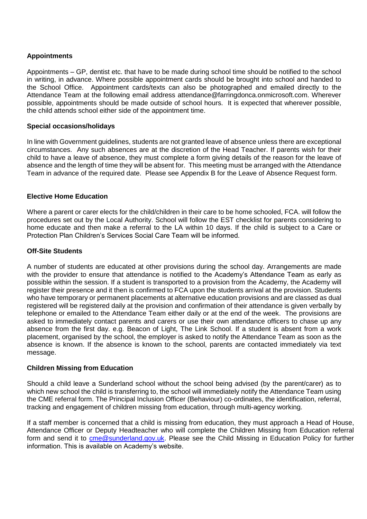## **Appointments**

Appointments – GP, dentist etc. that have to be made during school time should be notified to the school in writing, in advance. Where possible appointment cards should be brought into school and handed to the School Office. Appointment cards/texts can also be photographed and emailed directly to the Attendance Team at the following email address attendance@farringdonca.onmicrosoft.com. Wherever possible, appointments should be made outside of school hours. It is expected that wherever possible, the child attends school either side of the appointment time.

## **Special occasions/holidays**

In line with Government guidelines, students are not granted leave of absence unless there are exceptional circumstances. Any such absences are at the discretion of the Head Teacher. If parents wish for their child to have a leave of absence, they must complete a form giving details of the reason for the leave of absence and the length of time they will be absent for. This meeting must be arranged with the Attendance Team in advance of the required date. Please see Appendix B for the Leave of Absence Request form.

## **Elective Home Education**

Where a parent or carer elects for the child/children in their care to be home schooled, FCA. will follow the procedures set out by the Local Authority. School will follow the EST checklist for parents considering to home educate and then make a referral to the LA within 10 days. If the child is subject to a Care or Protection Plan Children's Services Social Care Team will be informed.

## **Off-Site Students**

A number of students are educated at other provisions during the school day. Arrangements are made with the provider to ensure that attendance is notified to the Academy's Attendance Team as early as possible within the session. If a student is transported to a provision from the Academy, the Academy will register their presence and it then is confirmed to FCA upon the students arrival at the provision. Students who have temporary or permanent placements at alternative education provisions and are classed as dual registered will be registered daily at the provision and confirmation of their attendance is given verbally by telephone or emailed to the Attendance Team either daily or at the end of the week. The provisions are asked to immediately contact parents and carers or use their own attendance officers to chase up any absence from the first day. e.g. Beacon of Light, The Link School. If a student is absent from a work placement, organised by the school, the employer is asked to notify the Attendance Team as soon as the absence is known. If the absence is known to the school, parents are contacted immediately via text message.

## **Children Missing from Education**

Should a child leave a Sunderland school without the school being advised (by the parent/carer) as to which new school the child is transferring to, the school will immediately notify the Attendance Team using the CME referral form. The Principal Inclusion Officer (Behaviour) co-ordinates, the identification, referral, tracking and engagement of children missing from education, through multi-agency working.

If a staff member is concerned that a child is missing from education, they must approach a Head of House, Attendance Officer or Deputy Headteacher who will complete the Children Missing from Education referral form and send it to [cme@sunderland.gov.uk.](mailto:cme@sunderland.gov.uk) Please see the Child Missing in Education Policy for further information. This is available on Academy's website.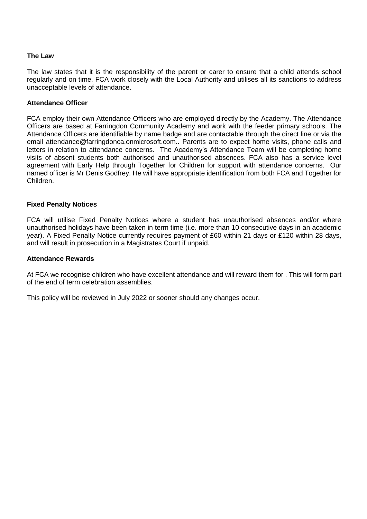#### **The Law**

The law states that it is the responsibility of the parent or carer to ensure that a child attends school regularly and on time. FCA work closely with the Local Authority and utilises all its sanctions to address unacceptable levels of attendance.

#### **Attendance Officer**

FCA employ their own Attendance Officers who are employed directly by the Academy. The Attendance Officers are based at Farringdon Community Academy and work with the feeder primary schools. The Attendance Officers are identifiable by name badge and are contactable through the direct line or via the email attendance@farringdonca.onmicrosoft.com.. Parents are to expect home visits, phone calls and letters in relation to attendance concerns. The Academy's Attendance Team will be completing home visits of absent students both authorised and unauthorised absences. FCA also has a service level agreement with Early Help through Together for Children for support with attendance concerns. Our named officer is Mr Denis Godfrey. He will have appropriate identification from both FCA and Together for Children.

#### **Fixed Penalty Notices**

FCA will utilise Fixed Penalty Notices where a student has unauthorised absences and/or where unauthorised holidays have been taken in term time (i.e. more than 10 consecutive days in an academic year). A Fixed Penalty Notice currently requires payment of £60 within 21 days or £120 within 28 days, and will result in prosecution in a Magistrates Court if unpaid.

#### **Attendance Rewards**

At FCA we recognise children who have excellent attendance and will reward them for . This will form part of the end of term celebration assemblies.

This policy will be reviewed in July 2022 or sooner should any changes occur.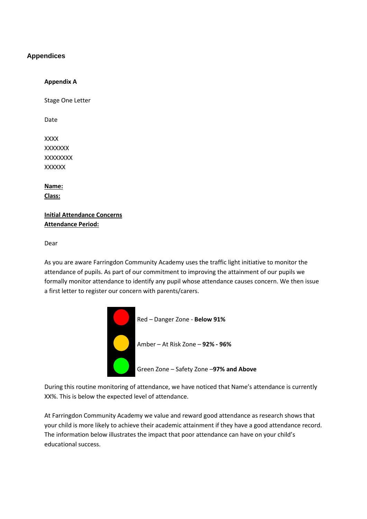## **Appendices**

#### **Appendix A**

Stage One Letter

Date

XXXX **XXXXXX** XXXXXXXX **XXXXXX** 

**Name: Class:** 

**Initial Attendance Concerns Attendance Period:** 

Dear

As you are aware Farringdon Community Academy uses the traffic light initiative to monitor the attendance of pupils. As part of our commitment to improving the attainment of our pupils we formally monitor attendance to identify any pupil whose attendance causes concern. We then issue a first letter to register our concern with parents/carers.



During this routine monitoring of attendance, we have noticed that Name's attendance is currently XX%. This is below the expected level of attendance.

At Farringdon Community Academy we value and reward good attendance as research shows that your child is more likely to achieve their academic attainment if they have a good attendance record. The information below illustrates the impact that poor attendance can have on your child's educational success.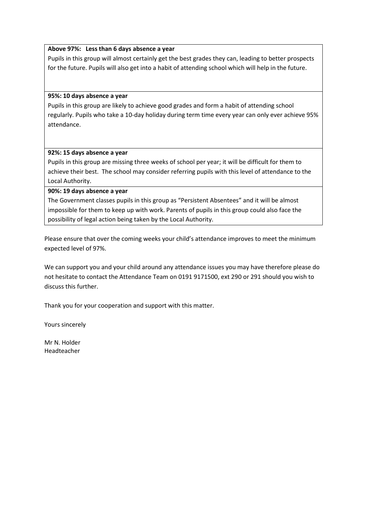#### **Above 97%: Less than 6 days absence a year**

Pupils in this group will almost certainly get the best grades they can, leading to better prospects for the future. Pupils will also get into a habit of attending school which will help in the future.

#### **95%: 10 days absence a year**

Pupils in this group are likely to achieve good grades and form a habit of attending school regularly. Pupils who take a 10-day holiday during term time every year can only ever achieve 95% attendance.

#### **92%: 15 days absence a year**

Pupils in this group are missing three weeks of school per year; it will be difficult for them to achieve their best. The school may consider referring pupils with this level of attendance to the Local Authority.

#### **90%: 19 days absence a year**

The Government classes pupils in this group as "Persistent Absentees" and it will be almost impossible for them to keep up with work. Parents of pupils in this group could also face the possibility of legal action being taken by the Local Authority.

Please ensure that over the coming weeks your child's attendance improves to meet the minimum expected level of 97%.

We can support you and your child around any attendance issues you may have therefore please do not hesitate to contact the Attendance Team on 0191 9171500, ext 290 or 291 should you wish to discuss this further.

Thank you for your cooperation and support with this matter.

Yours sincerely

Mr N. Holder Headteacher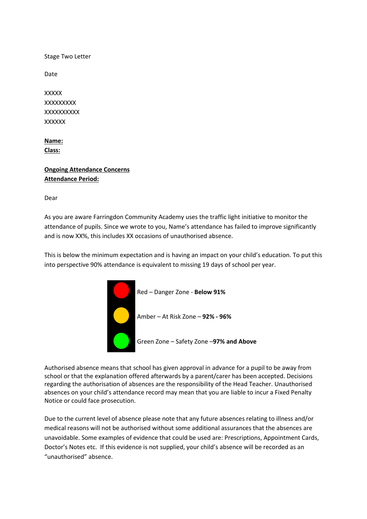Stage Two Letter

Date

**XXXXX XXXXXXXX XXXXXXXXX XXXXXX** 

**Name: Class:** 

# **Ongoing Attendance Concerns Attendance Period:**

Dear

As you are aware Farringdon Community Academy uses the traffic light initiative to monitor the attendance of pupils. Since we wrote to you, Name's attendance has failed to improve significantly and is now XX%, this includes XX occasions of unauthorised absence.

This is below the minimum expectation and is having an impact on your child's education. To put this into perspective 90% attendance is equivalent to missing 19 days of school per year.



Authorised absence means that school has given approval in advance for a pupil to be away from school or that the explanation offered afterwards by a parent/carer has been accepted. Decisions regarding the authorisation of absences are the responsibility of the Head Teacher. Unauthorised absences on your child's attendance record may mean that you are liable to incur a Fixed Penalty Notice or could face prosecution.

Due to the current level of absence please note that any future absences relating to illness and/or medical reasons will not be authorised without some additional assurances that the absences are unavoidable. Some examples of evidence that could be used are: Prescriptions, Appointment Cards, Doctor's Notes etc. If this evidence is not supplied, your child's absence will be recorded as an "unauthorised" absence.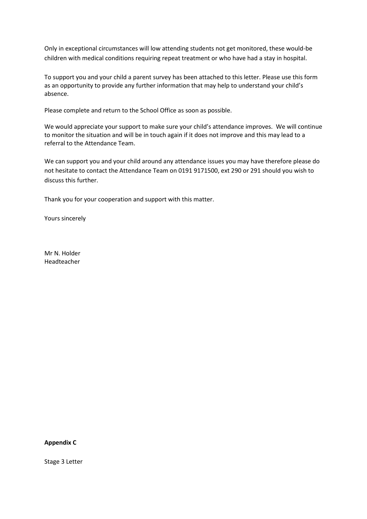Only in exceptional circumstances will low attending students not get monitored, these would-be children with medical conditions requiring repeat treatment or who have had a stay in hospital.

To support you and your child a parent survey has been attached to this letter. Please use this form as an opportunity to provide any further information that may help to understand your child's absence.

Please complete and return to the School Office as soon as possible.

We would appreciate your support to make sure your child's attendance improves. We will continue to monitor the situation and will be in touch again if it does not improve and this may lead to a referral to the Attendance Team.

We can support you and your child around any attendance issues you may have therefore please do not hesitate to contact the Attendance Team on 0191 9171500, ext 290 or 291 should you wish to discuss this further.

Thank you for your cooperation and support with this matter.

Yours sincerely

Mr N. Holder Headteacher

**Appendix C**

Stage 3 Letter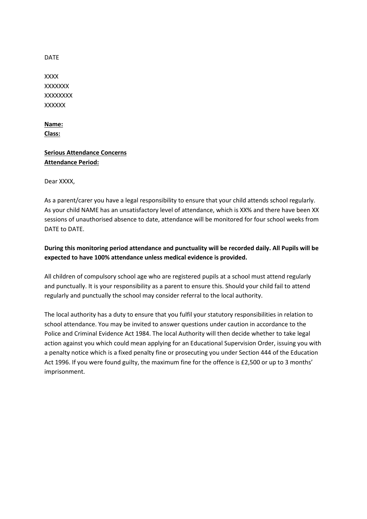#### DATE

XXXX **XXXXXXX** XXXXXXXX **XXXXXX** 

## **Name: Class:**

# **Serious Attendance Concerns Attendance Period:**

Dear XXXX,

As a parent/carer you have a legal responsibility to ensure that your child attends school regularly. As your child NAME has an unsatisfactory level of attendance, which is XX% and there have been XX sessions of unauthorised absence to date, attendance will be monitored for four school weeks from DATE to DATE.

# **During this monitoring period attendance and punctuality will be recorded daily. All Pupils will be expected to have 100% attendance unless medical evidence is provided.**

All children of compulsory school age who are registered pupils at a school must attend regularly and punctually. It is your responsibility as a parent to ensure this. Should your child fail to attend regularly and punctually the school may consider referral to the local authority.

The local authority has a duty to ensure that you fulfil your statutory responsibilities in relation to school attendance. You may be invited to answer questions under caution in accordance to the Police and Criminal Evidence Act 1984. The local Authority will then decide whether to take legal action against you which could mean applying for an Educational Supervision Order, issuing you with a penalty notice which is a fixed penalty fine or prosecuting you under Section 444 of the Education Act 1996. If you were found guilty, the maximum fine for the offence is £2,500 or up to 3 months' imprisonment.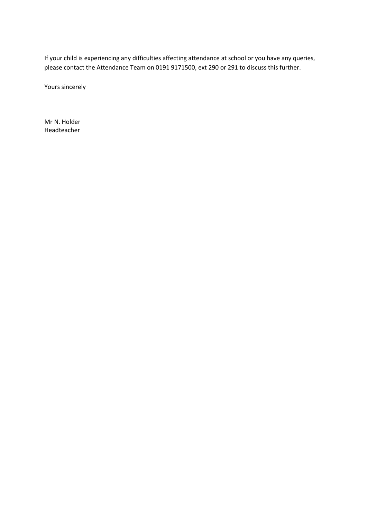If your child is experiencing any difficulties affecting attendance at school or you have any queries, please contact the Attendance Team on 0191 9171500, ext 290 or 291 to discuss this further.

Yours sincerely

Mr N. Holder Headteacher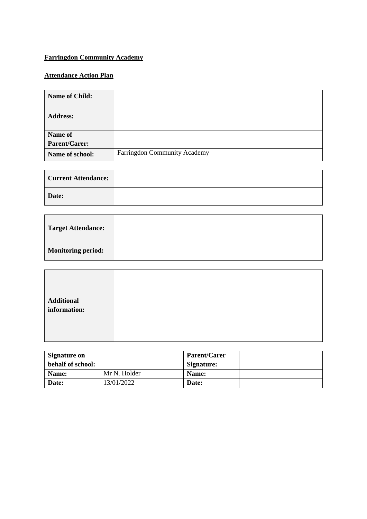# **Farringdon Community Academy**

# **Attendance Action Plan**

| <b>Name of Child:</b> |                              |
|-----------------------|------------------------------|
| <b>Address:</b>       |                              |
| <b>Name of</b>        |                              |
| Parent/Carer:         |                              |
| Name of school:       | Farringdon Community Academy |

| <b>Current Attendance:</b> |  |
|----------------------------|--|
| Date:                      |  |

| <b>Target Attendance:</b> |  |
|---------------------------|--|
| <b>Monitoring period:</b> |  |

| <b>Additional</b> |  |  |
|-------------------|--|--|
| information:      |  |  |
|                   |  |  |
|                   |  |  |
|                   |  |  |
|                   |  |  |

| Signature on      |              | <b>Parent/Carer</b> |  |
|-------------------|--------------|---------------------|--|
| behalf of school: |              | Signature:          |  |
| Name:             | Mr N. Holder | Name:               |  |
| Date:             | 13/01/2022   | Date:               |  |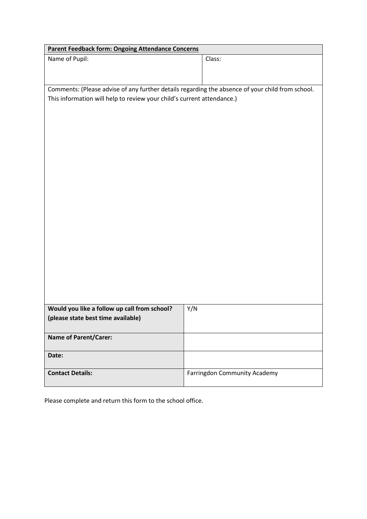| <b>Parent Feedback form: Ongoing Attendance Concerns</b>                                         |                                     |
|--------------------------------------------------------------------------------------------------|-------------------------------------|
| Name of Pupil:                                                                                   | Class:                              |
|                                                                                                  |                                     |
|                                                                                                  |                                     |
| Comments: (Please advise of any further details regarding the absence of your child from school. |                                     |
| This information will help to review your child's current attendance.)                           |                                     |
|                                                                                                  |                                     |
|                                                                                                  |                                     |
|                                                                                                  |                                     |
|                                                                                                  |                                     |
|                                                                                                  |                                     |
|                                                                                                  |                                     |
|                                                                                                  |                                     |
|                                                                                                  |                                     |
|                                                                                                  |                                     |
|                                                                                                  |                                     |
|                                                                                                  |                                     |
|                                                                                                  |                                     |
|                                                                                                  |                                     |
|                                                                                                  |                                     |
|                                                                                                  |                                     |
|                                                                                                  |                                     |
|                                                                                                  |                                     |
|                                                                                                  |                                     |
|                                                                                                  |                                     |
|                                                                                                  |                                     |
| Would you like a follow up call from school?                                                     | Y/N                                 |
| (please state best time available)                                                               |                                     |
|                                                                                                  |                                     |
| <b>Name of Parent/Carer:</b>                                                                     |                                     |
| Date:                                                                                            |                                     |
|                                                                                                  |                                     |
| <b>Contact Details:</b>                                                                          | <b>Farringdon Community Academy</b> |

Please complete and return this form to the school office.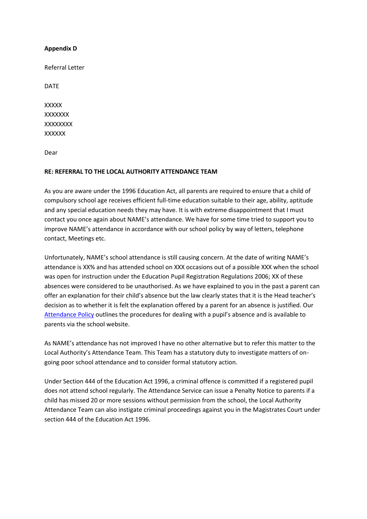#### **Appendix D**

Referral Letter

DATE

**XXXXX XXXXXXX** XXXXXXXX **XXXXXX** 

Dear

#### **RE: REFERRAL TO THE LOCAL AUTHORITY ATTENDANCE TEAM**

As you are aware under the 1996 Education Act, all parents are required to ensure that a child of compulsory school age receives efficient full-time education suitable to their age, ability, aptitude and any special education needs they may have. It is with extreme disappointment that I must contact you once again about NAME's attendance. We have for some time tried to support you to improve NAME's attendance in accordance with our school policy by way of letters, telephone contact, Meetings etc.

Unfortunately, NAME's school attendance is still causing concern. At the date of writing NAME's attendance is XX% and has attended school on XXX occasions out of a possible XXX when the school was open for instruction under the Education Pupil Registration Regulations 2006; XX of these absences were considered to be unauthorised. As we have explained to you in the past a parent can offer an explanation for their child's absence but the law clearly states that it is the Head teacher's decision as to whether it is felt the explanation offered by a parent for an absence is justified. Our [Attendance Policy](http://www.whitewaysprimary.co.uk/downloadfile/5543271?open=true) outlines the procedures for dealing with a pupil's absence and is available to parents via the school website.

As NAME's attendance has not improved I have no other alternative but to refer this matter to the Local Authority's Attendance Team. This Team has a statutory duty to investigate matters of ongoing poor school attendance and to consider formal statutory action.

Under Section 444 of the Education Act 1996, a criminal offence is committed if a registered pupil does not attend school regularly. The Attendance Service can issue a Penalty Notice to parents if a child has missed 20 or more sessions without permission from the school, the Local Authority Attendance Team can also instigate criminal proceedings against you in the Magistrates Court under section 444 of the Education Act 1996.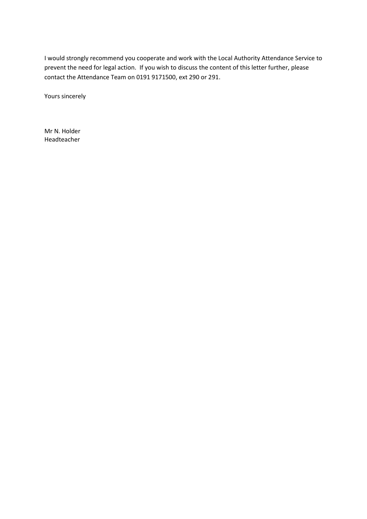I would strongly recommend you cooperate and work with the Local Authority Attendance Service to prevent the need for legal action. If you wish to discuss the content of this letter further, please contact the Attendance Team on 0191 9171500, ext 290 or 291.

Yours sincerely

Mr N. Holder Headteacher